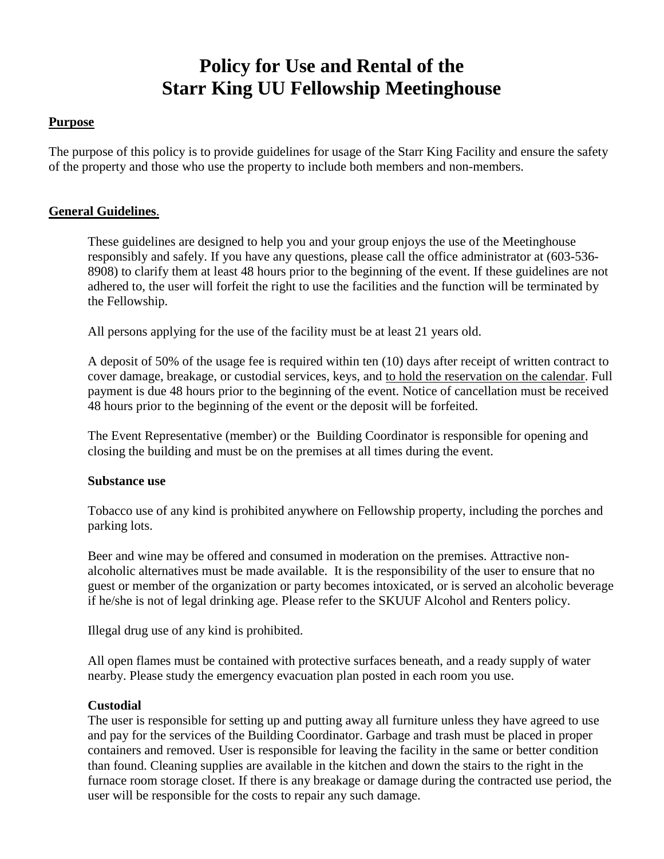# **Policy for Use and Rental of the Starr King UU Fellowship Meetinghouse**

### **Purpose**

The purpose of this policy is to provide guidelines for usage of the Starr King Facility and ensure the safety of the property and those who use the property to include both members and non-members.

### **General Guidelines**.

These guidelines are designed to help you and your group enjoys the use of the Meetinghouse responsibly and safely. If you have any questions, please call the office administrator at (603-536- 8908) to clarify them at least 48 hours prior to the beginning of the event. If these guidelines are not adhered to, the user will forfeit the right to use the facilities and the function will be terminated by the Fellowship.

All persons applying for the use of the facility must be at least 21 years old.

A deposit of 50% of the usage fee is required within ten (10) days after receipt of written contract to cover damage, breakage, or custodial services, keys, and to hold the reservation on the calendar. Full payment is due 48 hours prior to the beginning of the event. Notice of cancellation must be received 48 hours prior to the beginning of the event or the deposit will be forfeited.

The Event Representative (member) or the Building Coordinator is responsible for opening and closing the building and must be on the premises at all times during the event.

#### **Substance use**

Tobacco use of any kind is prohibited anywhere on Fellowship property, including the porches and parking lots.

Beer and wine may be offered and consumed in moderation on the premises. Attractive nonalcoholic alternatives must be made available. It is the responsibility of the user to ensure that no guest or member of the organization or party becomes intoxicated, or is served an alcoholic beverage if he/she is not of legal drinking age. Please refer to the SKUUF Alcohol and Renters policy.

Illegal drug use of any kind is prohibited.

All open flames must be contained with protective surfaces beneath, and a ready supply of water nearby. Please study the emergency evacuation plan posted in each room you use.

#### **Custodial**

The user is responsible for setting up and putting away all furniture unless they have agreed to use and pay for the services of the Building Coordinator. Garbage and trash must be placed in proper containers and removed. User is responsible for leaving the facility in the same or better condition than found. Cleaning supplies are available in the kitchen and down the stairs to the right in the furnace room storage closet. If there is any breakage or damage during the contracted use period, the user will be responsible for the costs to repair any such damage.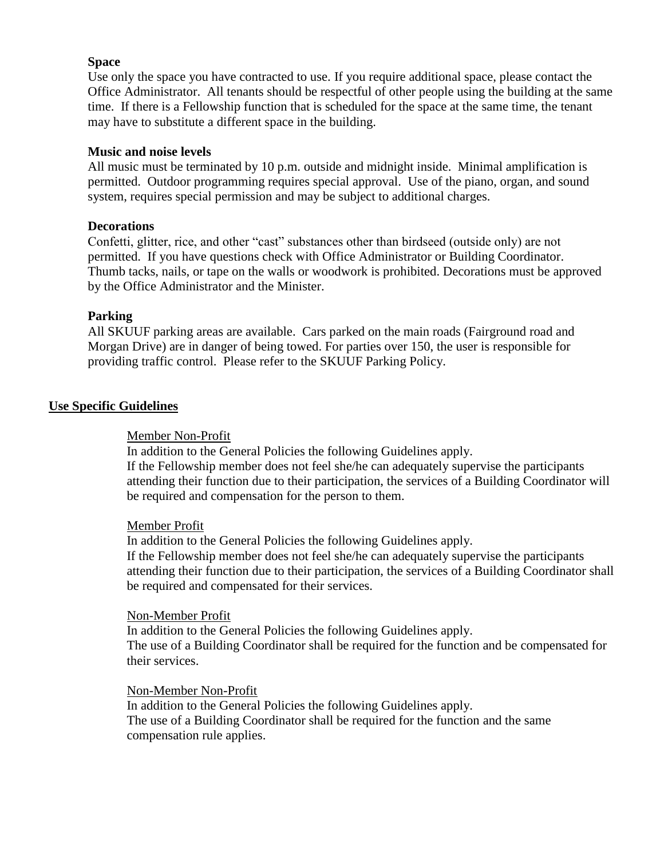## **Space**

Use only the space you have contracted to use. If you require additional space, please contact the Office Administrator. All tenants should be respectful of other people using the building at the same time. If there is a Fellowship function that is scheduled for the space at the same time, the tenant may have to substitute a different space in the building.

#### **Music and noise levels**

All music must be terminated by 10 p.m. outside and midnight inside. Minimal amplification is permitted. Outdoor programming requires special approval. Use of the piano, organ, and sound system, requires special permission and may be subject to additional charges.

### **Decorations**

Confetti, glitter, rice, and other "cast" substances other than birdseed (outside only) are not permitted. If you have questions check with Office Administrator or Building Coordinator. Thumb tacks, nails, or tape on the walls or woodwork is prohibited. Decorations must be approved by the Office Administrator and the Minister.

### **Parking**

All SKUUF parking areas are available. Cars parked on the main roads (Fairground road and Morgan Drive) are in danger of being towed. For parties over 150, the user is responsible for providing traffic control. Please refer to the SKUUF Parking Policy.

#### **Use Specific Guidelines**

#### Member Non-Profit

In addition to the General Policies the following Guidelines apply. If the Fellowship member does not feel she/he can adequately supervise the participants attending their function due to their participation, the services of a Building Coordinator will be required and compensation for the person to them.

#### Member Profit

In addition to the General Policies the following Guidelines apply.

If the Fellowship member does not feel she/he can adequately supervise the participants attending their function due to their participation, the services of a Building Coordinator shall be required and compensated for their services.

#### Non-Member Profit

In addition to the General Policies the following Guidelines apply. The use of a Building Coordinator shall be required for the function and be compensated for their services.

#### Non-Member Non-Profit

In addition to the General Policies the following Guidelines apply. The use of a Building Coordinator shall be required for the function and the same compensation rule applies.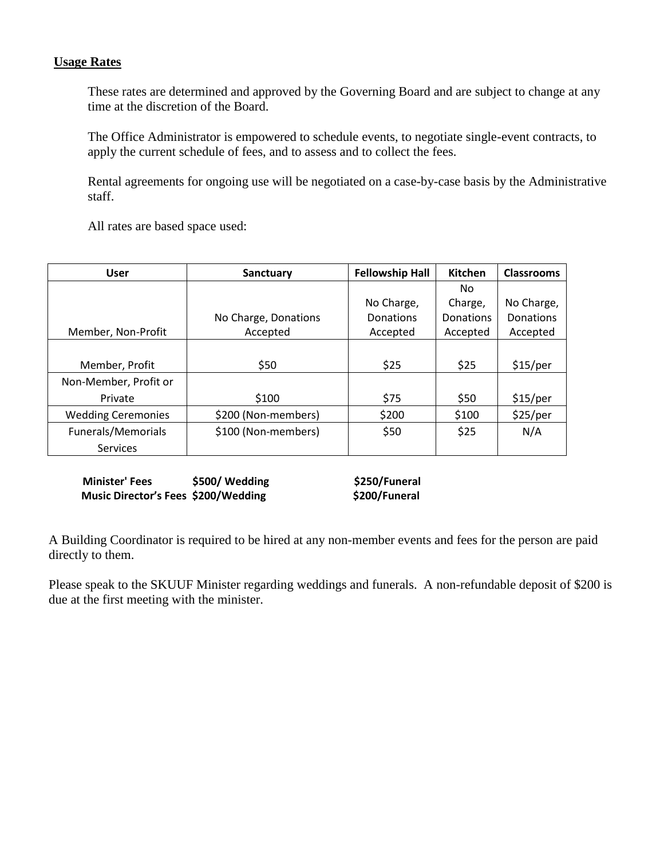# **Usage Rates**

These rates are determined and approved by the Governing Board and are subject to change at any time at the discretion of the Board.

The Office Administrator is empowered to schedule events, to negotiate single-event contracts, to apply the current schedule of fees, and to assess and to collect the fees.

Rental agreements for ongoing use will be negotiated on a case-by-case basis by the Administrative staff.

All rates are based space used:

| User                      | Sanctuary            | <b>Fellowship Hall</b> | Kitchen          | <b>Classrooms</b> |
|---------------------------|----------------------|------------------------|------------------|-------------------|
|                           |                      |                        | No.              |                   |
|                           |                      | No Charge,             | Charge,          | No Charge,        |
|                           | No Charge, Donations | <b>Donations</b>       | <b>Donations</b> | <b>Donations</b>  |
| Member, Non-Profit        | Accepted             | Accepted               | Accepted         | Accepted          |
|                           |                      |                        |                  |                   |
| Member, Profit            | \$50                 | \$25                   | \$25             | \$15/per          |
| Non-Member, Profit or     |                      |                        |                  |                   |
| Private                   | \$100                | \$75                   | \$50             | \$15/per          |
| <b>Wedding Ceremonies</b> | \$200 (Non-members)  | \$200                  | \$100            | \$25/per          |
| Funerals/Memorials        | \$100 (Non-members)  | \$50                   | \$25             | N/A               |
| <b>Services</b>           |                      |                        |                  |                   |

**Minister' Fees \$500/ Wedding** \$250/Funeral<br>
Music Director's Fees \$200/Wedding \$200/Funeral **Music Director's Fees \$200/Wedding** 

A Building Coordinator is required to be hired at any non-member events and fees for the person are paid directly to them.

Please speak to the SKUUF Minister regarding weddings and funerals. A non-refundable deposit of \$200 is due at the first meeting with the minister.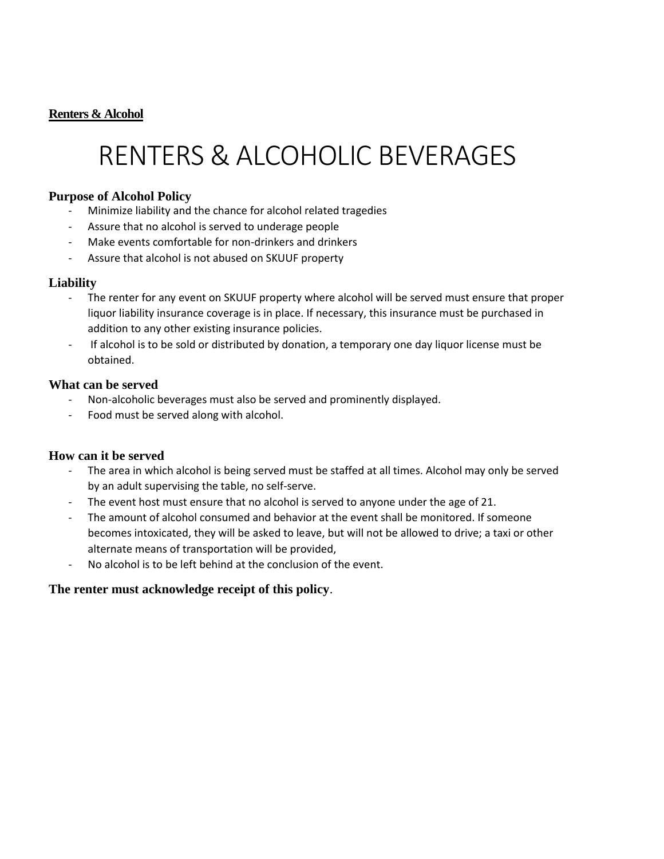# **Renters & Alcohol**

# RENTERS & ALCOHOLIC BEVERAGES

## **Purpose of Alcohol Policy**

- Minimize liability and the chance for alcohol related tragedies
- Assure that no alcohol is served to underage people
- Make events comfortable for non-drinkers and drinkers
- Assure that alcohol is not abused on SKUUF property

# **Liability**

- The renter for any event on SKUUF property where alcohol will be served must ensure that proper liquor liability insurance coverage is in place. If necessary, this insurance must be purchased in addition to any other existing insurance policies.
- If alcohol is to be sold or distributed by donation, a temporary one day liquor license must be obtained.

### **What can be served**

- Non-alcoholic beverages must also be served and prominently displayed.
- Food must be served along with alcohol.

# **How can it be served**

- The area in which alcohol is being served must be staffed at all times. Alcohol may only be served by an adult supervising the table, no self-serve.
- The event host must ensure that no alcohol is served to anyone under the age of 21.
- The amount of alcohol consumed and behavior at the event shall be monitored. If someone becomes intoxicated, they will be asked to leave, but will not be allowed to drive; a taxi or other alternate means of transportation will be provided,
- No alcohol is to be left behind at the conclusion of the event.

# **The renter must acknowledge receipt of this policy**.